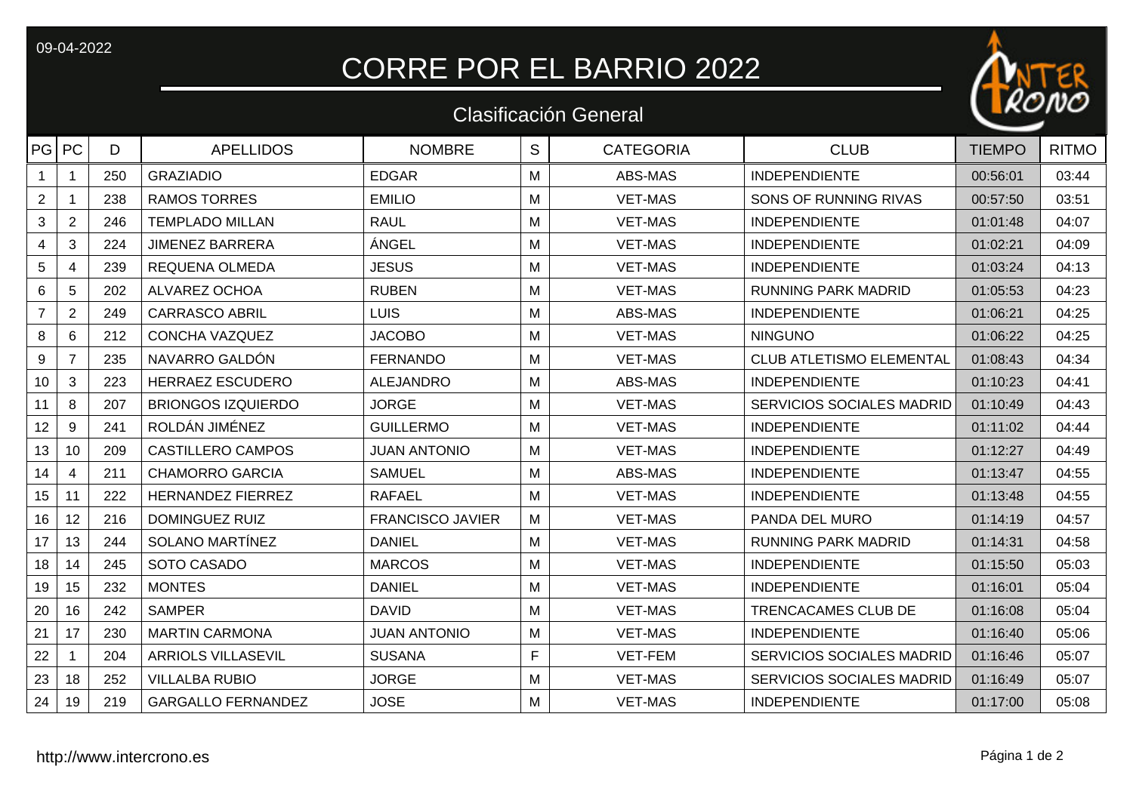09-04-2022

## CORRE POR EL BARRIO 2022



|                |                |     |                           | <b>Clasificación General</b> |   |                  | $\blacksquare$                  |               |              |
|----------------|----------------|-----|---------------------------|------------------------------|---|------------------|---------------------------------|---------------|--------------|
| PG PC          |                | D   | <b>APELLIDOS</b>          | <b>NOMBRE</b>                | S | <b>CATEGORIA</b> | <b>CLUB</b>                     | <b>TIEMPO</b> | <b>RITMO</b> |
| $\mathbf{1}$   | $\mathbf 1$    | 250 | <b>GRAZIADIO</b>          | <b>EDGAR</b>                 | M | ABS-MAS          | <b>INDEPENDIENTE</b>            | 00:56:01      | 03:44        |
| $\overline{2}$ | $\mathbf 1$    | 238 | <b>RAMOS TORRES</b>       | <b>EMILIO</b>                | M | <b>VET-MAS</b>   | SONS OF RUNNING RIVAS           | 00:57:50      | 03:51        |
| $\mathfrak{B}$ | $\sqrt{2}$     | 246 | <b>TEMPLADO MILLAN</b>    | <b>RAUL</b>                  | M | <b>VET-MAS</b>   | <b>INDEPENDIENTE</b>            | 01:01:48      | 04:07        |
| $\overline{4}$ | 3              | 224 | <b>JIMENEZ BARRERA</b>    | ÁNGEL                        | M | <b>VET-MAS</b>   | <b>INDEPENDIENTE</b>            | 01:02:21      | 04:09        |
| $5\,$          | $\overline{4}$ | 239 | <b>REQUENA OLMEDA</b>     | <b>JESUS</b>                 | M | <b>VET-MAS</b>   | <b>INDEPENDIENTE</b>            | 01:03:24      | 04:13        |
| 6              | $\overline{5}$ | 202 | ALVAREZ OCHOA             | <b>RUBEN</b>                 | M | <b>VET-MAS</b>   | <b>RUNNING PARK MADRID</b>      | 01:05:53      | 04:23        |
| $\overline{7}$ | $\overline{2}$ | 249 | <b>CARRASCO ABRIL</b>     | <b>LUIS</b>                  | M | ABS-MAS          | <b>INDEPENDIENTE</b>            | 01:06:21      | 04:25        |
| 8              | 6              | 212 | <b>CONCHA VAZQUEZ</b>     | <b>JACOBO</b>                | M | <b>VET-MAS</b>   | <b>NINGUNO</b>                  | 01:06:22      | 04:25        |
| 9              | $\overline{7}$ | 235 | NAVARRO GALDÓN            | <b>FERNANDO</b>              | M | <b>VET-MAS</b>   | <b>CLUB ATLETISMO ELEMENTAL</b> | 01:08:43      | 04:34        |
| $10$           | $\mathfrak{S}$ | 223 | <b>HERRAEZ ESCUDERO</b>   | <b>ALEJANDRO</b>             | M | ABS-MAS          | <b>INDEPENDIENTE</b>            | 01:10:23      | 04:41        |
| 11             | 8              | 207 | <b>BRIONGOS IZQUIERDO</b> | <b>JORGE</b>                 | M | <b>VET-MAS</b>   | SERVICIOS SOCIALES MADRID       | 01:10:49      | 04:43        |
| 12             | 9              | 241 | ROLDÁN JIMÉNEZ            | <b>GUILLERMO</b>             | M | <b>VET-MAS</b>   | <b>INDEPENDIENTE</b>            | 01:11:02      | 04:44        |
| 13             | 10             | 209 | <b>CASTILLERO CAMPOS</b>  | <b>JUAN ANTONIO</b>          | M | <b>VET-MAS</b>   | <b>INDEPENDIENTE</b>            | 01:12:27      | 04:49        |
| 14             | $\overline{4}$ | 211 | <b>CHAMORRO GARCIA</b>    | <b>SAMUEL</b>                | M | ABS-MAS          | <b>INDEPENDIENTE</b>            | 01:13:47      | 04:55        |
| 15             | 11             | 222 | <b>HERNANDEZ FIERREZ</b>  | <b>RAFAEL</b>                | M | <b>VET-MAS</b>   | <b>INDEPENDIENTE</b>            | 01:13:48      | 04:55        |
| 16             | 12             | 216 | <b>DOMINGUEZ RUIZ</b>     | <b>FRANCISCO JAVIER</b>      | M | <b>VET-MAS</b>   | PANDA DEL MURO                  | 01:14:19      | 04:57        |
| 17             | 13             | 244 | SOLANO MARTÍNEZ           | <b>DANIEL</b>                | Μ | <b>VET-MAS</b>   | <b>RUNNING PARK MADRID</b>      | 01:14:31      | 04:58        |
| 18             | 14             | 245 | SOTO CASADO               | <b>MARCOS</b>                | M | <b>VET-MAS</b>   | <b>INDEPENDIENTE</b>            | 01:15:50      | 05:03        |
| 19             | 15             | 232 | <b>MONTES</b>             | <b>DANIEL</b>                | M | <b>VET-MAS</b>   | <b>INDEPENDIENTE</b>            | 01:16:01      | 05:04        |
| 20             | 16             | 242 | <b>SAMPER</b>             | <b>DAVID</b>                 | M | <b>VET-MAS</b>   | TRENCACAMES CLUB DE             | 01:16:08      | 05:04        |
| 21             | 17             | 230 | <b>MARTIN CARMONA</b>     | <b>JUAN ANTONIO</b>          | M | <b>VET-MAS</b>   | <b>INDEPENDIENTE</b>            | 01:16:40      | 05:06        |
| 22             |                | 204 | <b>ARRIOLS VILLASEVIL</b> | <b>SUSANA</b>                | F | VET-FEM          | SERVICIOS SOCIALES MADRID       | 01:16:46      | 05:07        |
| 23             | 18             | 252 | <b>VILLALBA RUBIO</b>     | <b>JORGE</b>                 | M | <b>VET-MAS</b>   | SERVICIOS SOCIALES MADRID       | 01:16:49      | 05:07        |
| 24             | 19             | 219 | <b>GARGALLO FERNANDEZ</b> | <b>JOSE</b>                  | М | <b>VET-MAS</b>   | <b>INDEPENDIENTE</b>            | 01:17:00      | 05:08        |